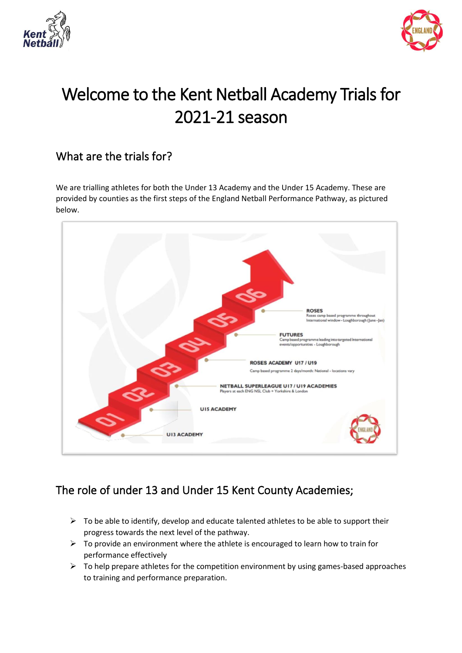



# Welcome to the Kent Netball Academy Trials for 2021-21 season

### What are the trials for?

We are trialling athletes for both the Under 13 Academy and the Under 15 Academy. These are provided by counties as the first steps of the England Netball Performance Pathway, as pictured below.



# The role of under 13 and Under 15 Kent County Academies;

- $\triangleright$  To be able to identify, develop and educate talented athletes to be able to support their progress towards the next level of the pathway.
- $\triangleright$  To provide an environment where the athlete is encouraged to learn how to train for performance effectively
- $\triangleright$  To help prepare athletes for the competition environment by using games-based approaches to training and performance preparation.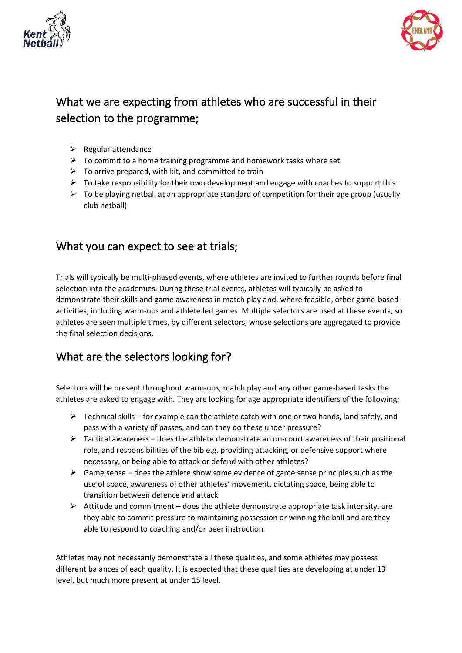



# What we are expecting from athletes who are successful in their selection to the programme;

- $\triangleright$  Regular attendance
- ➢ To commit to a home training programme and homework tasks where set
- $\triangleright$  To arrive prepared, with kit, and committed to train
- $\triangleright$  To take responsibility for their own development and engage with coaches to support this
- $\triangleright$  To be playing netball at an appropriate standard of competition for their age group (usually club netball)

#### What you can expect to see at trials;

Trials will typically be multi-phased events, where athletes are invited to further rounds before final selection into the academies. During these trial events, athletes will typically be asked to demonstrate their skills and game awareness in match play and, where feasible, other game-based activities, including warm-ups and athlete led games. Multiple selectors are used at these events, so athletes are seen multiple times, by different selectors, whose selections are aggregated to provide the final selection decisions.

# What are the selectors looking for?

Selectors will be present throughout warm-ups, match play and any other game-based tasks the athletes are asked to engage with. They are looking for age appropriate identifiers of the following;

- $\triangleright$  Technical skills for example can the athlete catch with one or two hands, land safely, and pass with a variety of passes, and can they do these under pressure?
- $\triangleright$  Tactical awareness does the athlete demonstrate an on-court awareness of their positional role, and responsibilities of the bib e.g. providing attacking, or defensive support where necessary, or being able to attack or defend with other athletes?
- $\triangleright$  Game sense does the athlete show some evidence of game sense principles such as the use of space, awareness of other athletes' movement, dictating space, being able to transition between defence and attack
- $\triangleright$  Attitude and commitment does the athlete demonstrate appropriate task intensity, are they able to commit pressure to maintaining possession or winning the ball and are they able to respond to coaching and/or peer instruction

Athletes may not necessarily demonstrate all these qualities, and some athletes may possess different balances of each quality. It is expected that these qualities are developing at under 13 level, but much more present at under 15 level.